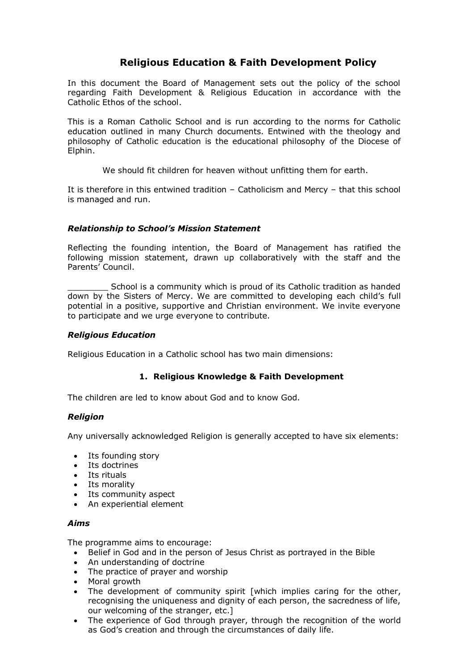# **Religious Education & Faith Development Policy**

In this document the Board of Management sets out the policy of the school regarding Faith Development & Religious Education in accordance with the Catholic Ethos of the school.

This is a Roman Catholic School and is run according to the norms for Catholic education outlined in many Church documents. Entwined with the theology and philosophy of Catholic education is the educational philosophy of the Diocese of Elphin.

We should fit children for heaven without unfitting them for earth.

It is therefore in this entwined tradition – Catholicism and Mercy – that this school is managed and run.

# *Relationship to School's Mission Statement*

Reflecting the founding intention, the Board of Management has ratified the following mission statement, drawn up collaboratively with the staff and the Parents' Council.

\_\_\_\_\_\_\_\_ School is a community which is proud of its Catholic tradition as handed down by the Sisters of Mercy. We are committed to developing each child's full potential in a positive, supportive and Christian environment. We invite everyone to participate and we urge everyone to contribute.

## *Religious Education*

Religious Education in a Catholic school has two main dimensions:

# **1. Religious Knowledge & Faith Development**

The children are led to know about God and to know God.

#### *Religion*

Any universally acknowledged Religion is generally accepted to have six elements:

- Its founding story
- $\bullet$  Its doctrines
- Its rituals
- Its morality
- Its community aspect
- An experiential element

#### *Aims*

The programme aims to encourage:

- Belief in God and in the person of Jesus Christ as portrayed in the Bible
- An understanding of doctrine
- The practice of prayer and worship
- Moral growth
- The development of community spirit [which implies caring for the other, recognising the uniqueness and dignity of each person, the sacredness of life, our welcoming of the stranger, etc.]
- The experience of God through prayer, through the recognition of the world as God's creation and through the circumstances of daily life.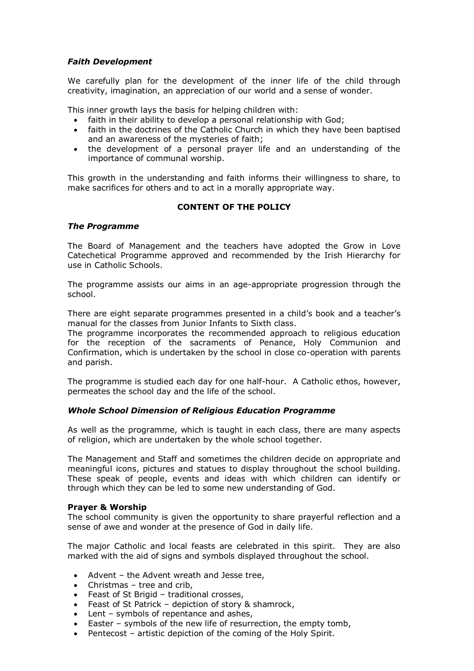# *Faith Development*

We carefully plan for the development of the inner life of the child through creativity, imagination, an appreciation of our world and a sense of wonder.

This inner growth lays the basis for helping children with:

- faith in their ability to develop a personal relationship with God;
- faith in the doctrines of the Catholic Church in which they have been baptised and an awareness of the mysteries of faith;
- the development of a personal prayer life and an understanding of the importance of communal worship.

This growth in the understanding and faith informs their willingness to share, to make sacrifices for others and to act in a morally appropriate way.

# **CONTENT OF THE POLICY**

## *The Programme*

The Board of Management and the teachers have adopted the Grow in Love Catechetical Programme approved and recommended by the Irish Hierarchy for use in Catholic Schools.

The programme assists our aims in an age-appropriate progression through the school.

There are eight separate programmes presented in a child's book and a teacher's manual for the classes from Junior Infants to Sixth class.

The programme incorporates the recommended approach to religious education for the reception of the sacraments of Penance, Holy Communion and Confirmation, which is undertaken by the school in close co-operation with parents and parish.

The programme is studied each day for one half-hour. A Catholic ethos, however, permeates the school day and the life of the school.

#### *Whole School Dimension of Religious Education Programme*

As well as the programme, which is taught in each class, there are many aspects of religion, which are undertaken by the whole school together.

The Management and Staff and sometimes the children decide on appropriate and meaningful icons, pictures and statues to display throughout the school building. These speak of people, events and ideas with which children can identify or through which they can be led to some new understanding of God.

#### **Prayer & Worship**

The school community is given the opportunity to share prayerful reflection and a sense of awe and wonder at the presence of God in daily life.

The maior Catholic and local feasts are celebrated in this spirit. They are also marked with the aid of signs and symbols displayed throughout the school.

- Advent the Advent wreath and Jesse tree,
- Christmas tree and crib,
- Feast of St Brigid traditional crosses,
- Feast of St Patrick depiction of story & shamrock,
- Lent symbols of repentance and ashes,
- Easter symbols of the new life of resurrection, the empty tomb,
- Pentecost artistic depiction of the coming of the Holy Spirit.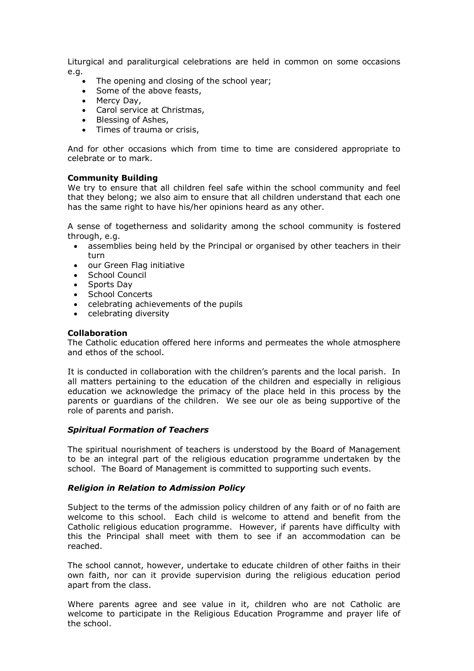Liturgical and paraliturgical celebrations are held in common on some occasions e.g.

- The opening and closing of the school year;
- Some of the above feasts,
- Mercy Day,
- Carol service at Christmas,
- Blessing of Ashes,
- Times of trauma or crisis,

And for other occasions which from time to time are considered appropriate to celebrate or to mark.

#### **Community Building**

We try to ensure that all children feel safe within the school community and feel that they belong; we also aim to ensure that all children understand that each one has the same right to have his/her opinions heard as any other.

A sense of togetherness and solidarity among the school community is fostered through, e.g.

- assemblies being held by the Principal or organised by other teachers in their turn
- our Green Flag initiative
- School Council
- Sports Day
- School Concerts
- celebrating achievements of the pupils
- celebrating diversity

## **Collaboration**

The Catholic education offered here informs and permeates the whole atmosphere and ethos of the school.

It is conducted in collaboration with the children's parents and the local parish. In all matters pertaining to the education of the children and especially in religious education we acknowledge the primacy of the place held in this process by the parents or guardians of the children. We see our ole as being supportive of the role of parents and parish.

#### *Spiritual Formation of Teachers*

The spiritual nourishment of teachers is understood by the Board of Management to be an integral part of the religious education programme undertaken by the school. The Board of Management is committed to supporting such events.

#### *Religion in Relation to Admission Policy*

Subject to the terms of the admission policy children of any faith or of no faith are welcome to this school. Each child is welcome to attend and benefit from the Catholic religious education programme. However, if parents have difficulty with this the Principal shall meet with them to see if an accommodation can be reached.

The school cannot, however, undertake to educate children of other faiths in their own faith, nor can it provide supervision during the religious education period apart from the class.

Where parents agree and see value in it, children who are not Catholic are welcome to participate in the Religious Education Programme and prayer life of the school.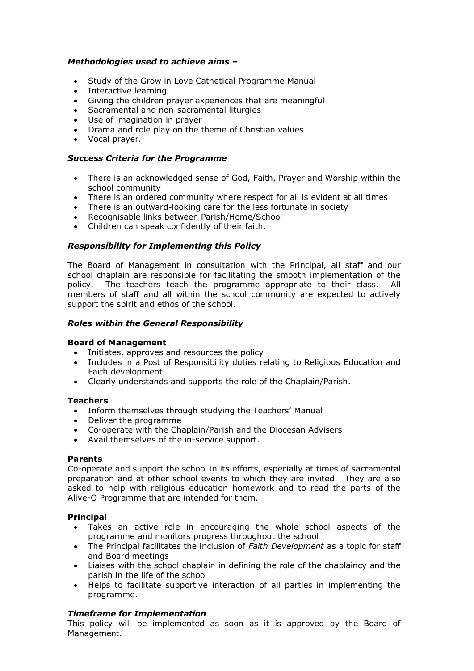## *Methodologies used to achieve aims –*

- Study of the Grow in Love Cathetical Programme Manual
- Interactive learning
- Giving the children prayer experiences that are meaningful
- Sacramental and non-sacramental liturgies
- Use of imagination in prayer
- Drama and role play on the theme of Christian values
- Vocal prayer.

#### *Success Criteria for the Programme*

- There is an acknowledged sense of God, Faith, Prayer and Worship within the school community
- There is an ordered community where respect for all is evident at all times
- There is an outward-looking care for the less fortunate in society
- Recognisable links between Parish/Home/School
- Children can speak confidently of their faith.

## *Responsibility for Implementing this Policy*

The Board of Management in consultation with the Principal, all staff and our school chaplain are responsible for facilitating the smooth implementation of the policy. The teachers teach the programme appropriate to their class. All members of staff and all within the school community are expected to actively support the spirit and ethos of the school.

## *Roles within the General Responsibility*

#### **Board of Management**

- Initiates, approves and resources the policy
- Includes in a Post of Responsibility duties relating to Religious Education and Faith development
- Clearly understands and supports the role of the Chaplain/Parish.

#### **Teachers**

- Inform themselves through studying the Teachers' Manual
- Deliver the programme
- Co-operate with the Chaplain/Parish and the Diocesan Advisers
- Avail themselves of the in-service support.

#### **Parents**

Co-operate and support the school in its efforts, especially at times of sacramental preparation and at other school events to which they are invited. They are also asked to help with religious education homework and to read the parts of the Alive-O Programme that are intended for them.

#### **Principal**

- Takes an active role in encouraging the whole school aspects of the programme and monitors progress throughout the school
- The Principal facilitates the inclusion of *Faith Development* as a topic for staff and Board meetings
- Liaises with the school chaplain in defining the role of the chaplaincy and the parish in the life of the school
- Helps to facilitate supportive interaction of all parties in implementing the programme.

# *Timeframe for Implementation*

This policy will be implemented as soon as it is approved by the Board of Management.